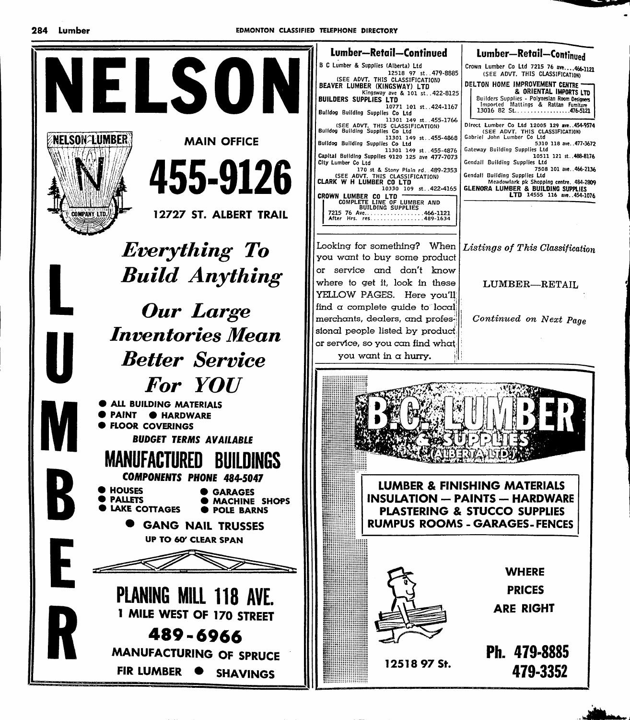

Lumber-Retail-Continued Lumber-Retail-Continued Crown Lumber Co Ltd 7215 76 ave....466-1121<br>(SEE ADVT. THIS CLASSIFICATION) B C Lumber & Supplies (Alberta) Ltd SEE ADVT. THIS CLASSIFICATION)<br>SEE ADVT. THIS CLASSIFICATION)<br>BEAVER LUMBER (KINGSWAY) LTD DELTON HOME IMPROVEMENT CENTRE Kingsway ave & 101 st. .422-8125<br>BUILDERS SUPPLIES LTD Builders Supplies - Polynesian Room Designers Imported Mattings & Rattan Fumitul 10771 101 st 424-1167 Buildog Building Supplies Co Ltd 2011 1301 149 st. 455-1766<br>Bulldog Buildin Supplies Co. Ltd<br>Buildog Buildin Supplies Co. Ltd<br>Buildin Supplies Co. Ltd<br>Buildin Supplies Co. Ltd Buildog Building Supplies Co Ltd Duntouy Burnting Supplies CO Ltd<br>11301 149 st. 455-4876<br>Capital Building Supplies 9120 125 ave 477-7073 City Lumber Co Ltd 170 st & Stony Plain rd. 489-2353<br>(SEE ADVT. THIS CLASSIFICATION)<br>CLARK W H LUMBER CO LTD. Looking for something? When you want to buy some product or service and don't know

Direct Lumber Co Ltd 12005 129 ave..454-9574 (SEE ADVT. THIS CLASSIFICATION)<br>Gabriel John Lumber Co Ltd 5310 118 ave. . 477-3672 Gateway Building Supplies Ltd 10511 121 st. 488-8176 Gendall Building Supplies Ltd 7508 101 ave.. 466-2136 Gendall Building Supplies Ltd Meadowlark pk Shopping centre. 484-2809<br>GLENORA LUMBER & BUILDING SUPPLIES<br>LTD 14555 116 ave. 454-1076

& ORIENTAL IMPORTS LTD

Listings of This Classification

LUMBER-RETAIL

Continued on Next Page

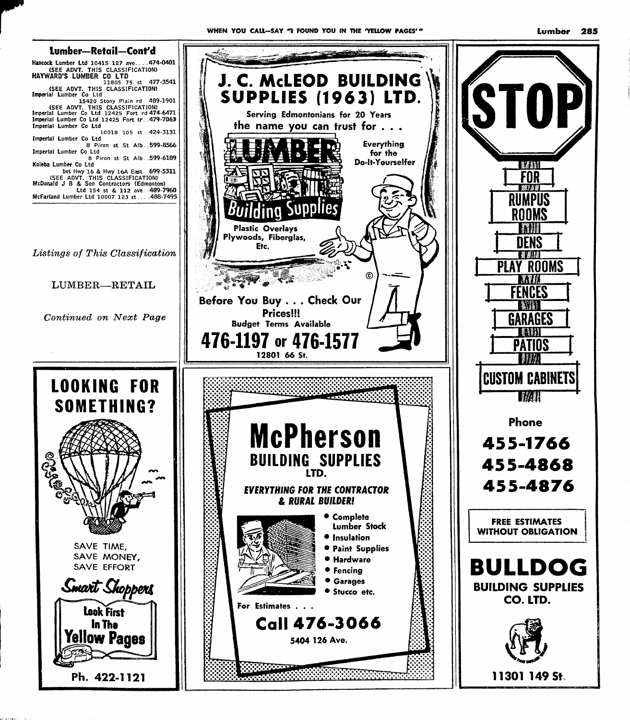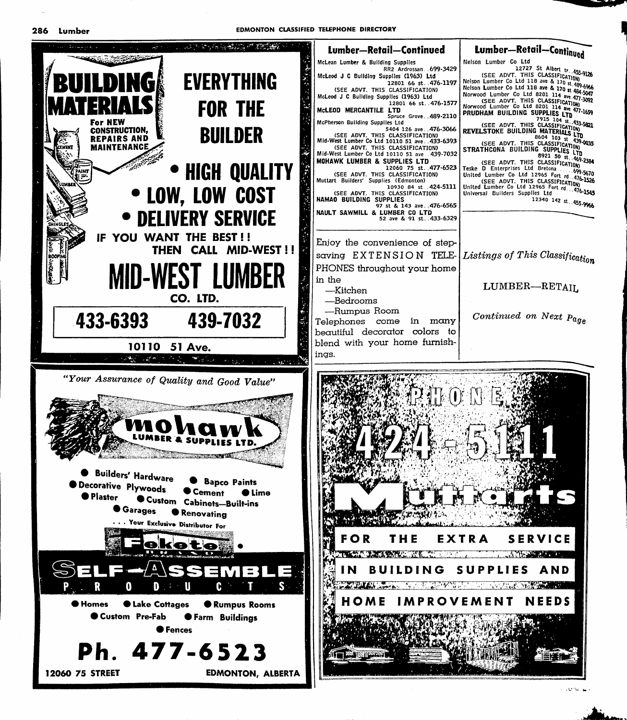EDMONTON CLASSIFIED TELEPHONE DIRECTORY

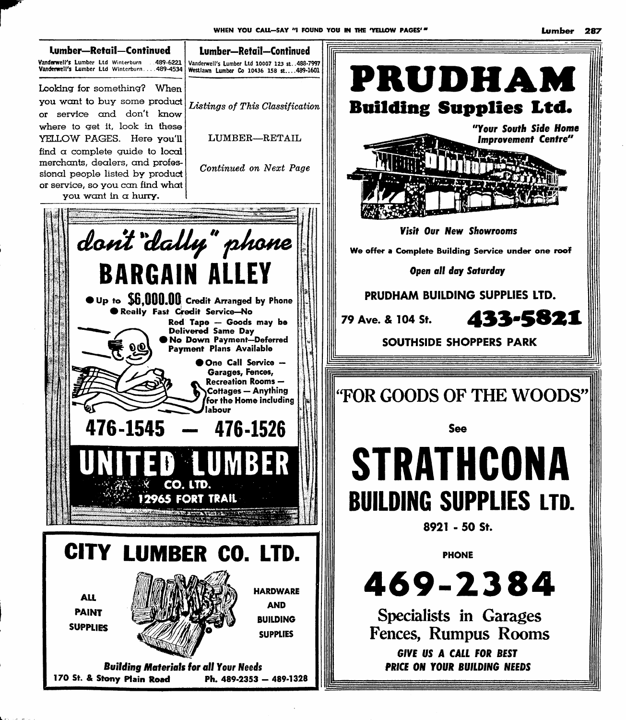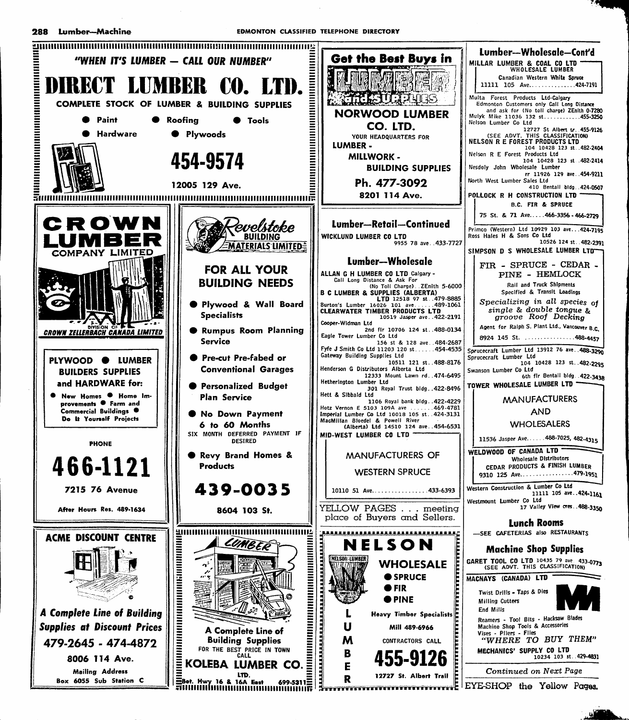